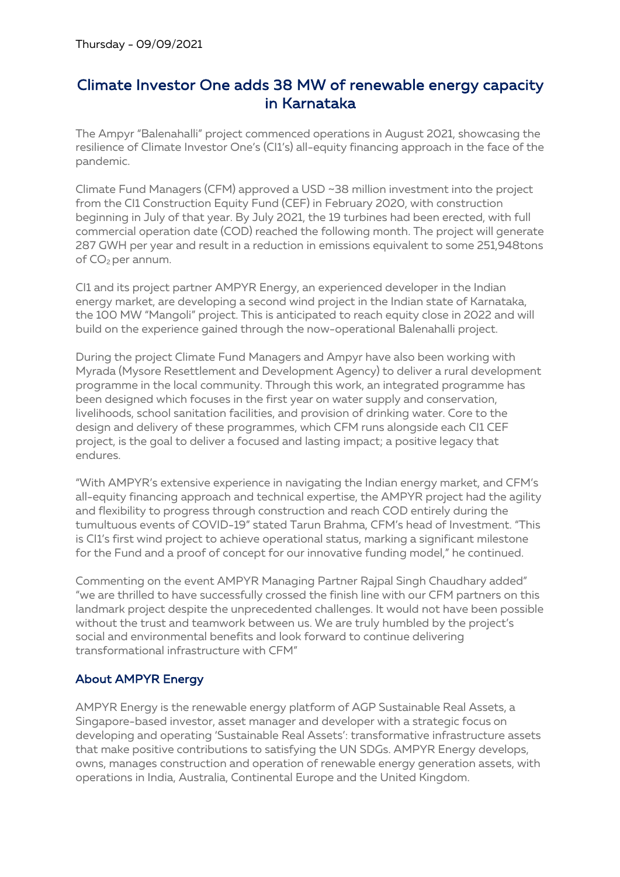## Climate Investor One adds 38 MW of renewable energy capacity in Karnataka

The Ampyr "Balenahalli" project commenced operations in August 2021, showcasing the resilience of Climate Investor One's (CI1's) all-equity financing approach in the face of the pandemic.

Climate Fund Managers (CFM) approved a USD ~38 million investment into the project from the CI1 Construction Equity Fund (CEF) in February 2020, with construction beginning in July of that year. By July 2021, the 19 turbines had been erected, with full commercial operation date (COD) reached the following month. The project will generate 287 GWH per year and result in a reduction in emissions equivalent to some 251,948tons of CO<sub>2</sub> per annum.

CI1 and its project partner AMPYR Energy, an experienced developer in the Indian energy market, are developing a second wind project in the Indian state of Karnataka, the 100 MW "Mangoli" project. This is anticipated to reach equity close in 2022 and will build on the experience gained through the now-operational Balenahalli project.

During the project Climate Fund Managers and Ampyr have also been working with Myrada (Mysore Resettlement and Development Agency) to deliver a rural development programme in the local community. Through this work, an integrated programme has been designed which focuses in the first year on water supply and conservation, livelihoods, school sanitation facilities, and provision of drinking water. Core to the design and delivery of these programmes, which CFM runs alongside each CI1 CEF project, is the goal to deliver a focused and lasting impact; a positive legacy that endures.

"With AMPYR's extensive experience in navigating the Indian energy market, and CFM's all-equity financing approach and technical expertise, the AMPYR project had the agility and flexibility to progress through construction and reach COD entirely during the tumultuous events of COVID-19" stated Tarun Brahma, CFM's head of Investment. "This is CI1's first wind project to achieve operational status, marking a significant milestone for the Fund and a proof of concept for our innovative funding model," he continued.

Commenting on the event AMPYR Managing Partner Rajpal Singh Chaudhary added" "we are thrilled to have successfully crossed the finish line with our CFM partners on this landmark project despite the unprecedented challenges. It would not have been possible without the trust and teamwork between us. We are truly humbled by the project's social and environmental benefits and look forward to continue delivering transformational infrastructure with CFM"

## About AMPYR Energy

AMPYR Energy is the renewable energy platform of AGP Sustainable Real Assets, a Singapore-based investor, asset manager and developer with a strategic focus on developing and operating 'Sustainable Real Assets': transformative infrastructure assets that make positive contributions to satisfying the UN SDGs. AMPYR Energy develops, owns, manages construction and operation of renewable energy generation assets, with operations in India, Australia, Continental Europe and the United Kingdom.